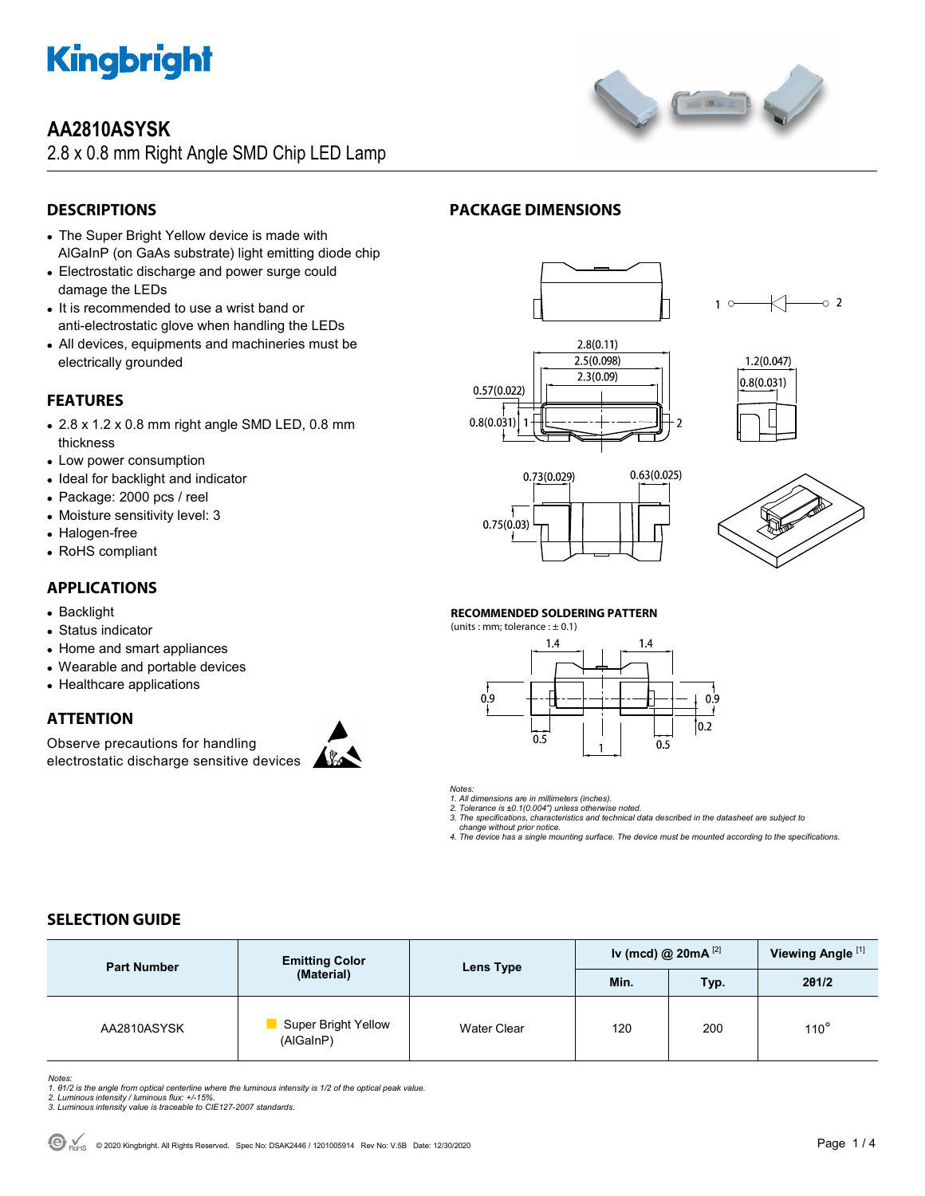

## **AA2810ASYSK**

2.8 x 0.8 mm Right Angle SMD Chip LED Lamp



- The Super Bright Yellow device is made with AlGaInP (on GaAs substrate) light emitting diode chip
- Electrostatic discharge and power surge could damage the LEDs
- It is recommended to use a wrist band or anti-electrostatic glove when handling the LEDs
- All devices, equipments and machineries must be electrically grounded

## **FEATURES**

- 2.8 x 1.2 x 0.8 mm right angle SMD LED, 0.8 mm thickness
- Low power consumption
- Ideal for backlight and indicator
- Package: 2000 pcs / reel
- Moisture sensitivity level: 3
- Halogen-free
- RoHS compliant

### **APPLICATIONS**

- Backlight
- Status indicator
- Home and smart appliances
- Wearable and portable devices
- Healthcare applications

## **ATTENTION**

Observe precautions for handling electrostatic discharge sensitive devices



## **PACKAGE DIMENSIONS**











#### **RECOMMENDED SOLDERING PATTERN**

(units : mm; tolerance :  $\pm$  0.1)



*Notes:* 

*1. All dimensions are in millimeters (inches).* 

*2. Tolerance is ±0.1(0.004") unless otherwise noted.* 

*3. The specifications, characteristics and technical data described in the datasheet are subject to change without prior notice.* 

*4. The device has a single mounting surface. The device must be mounted according to the specifications.* 

## **SELECTION GUIDE**

| <b>Part Number</b> | <b>Emitting Color</b><br>(Material) | Lens Type   | Iv (mcd) @ $20mA^{[2]}$ |      | Viewing Angle <sup>[1]</sup> |
|--------------------|-------------------------------------|-------------|-------------------------|------|------------------------------|
|                    |                                     |             | Min.                    | Typ. | 201/2                        |
| AA2810ASYSK        | Super Bright Yellow<br>(AlGaInP)    | Water Clear | 120                     | 200  | $110^\circ$                  |



Notes:<br>1. 81/2 is the angle from optical centerline where the luminous intensity is 1/2 of the optical peak value.<br>2. Luminous intensity / luminous flux: +/-15%.<br>3. Luminous intensity value is traceable to CIE127-2007 stan



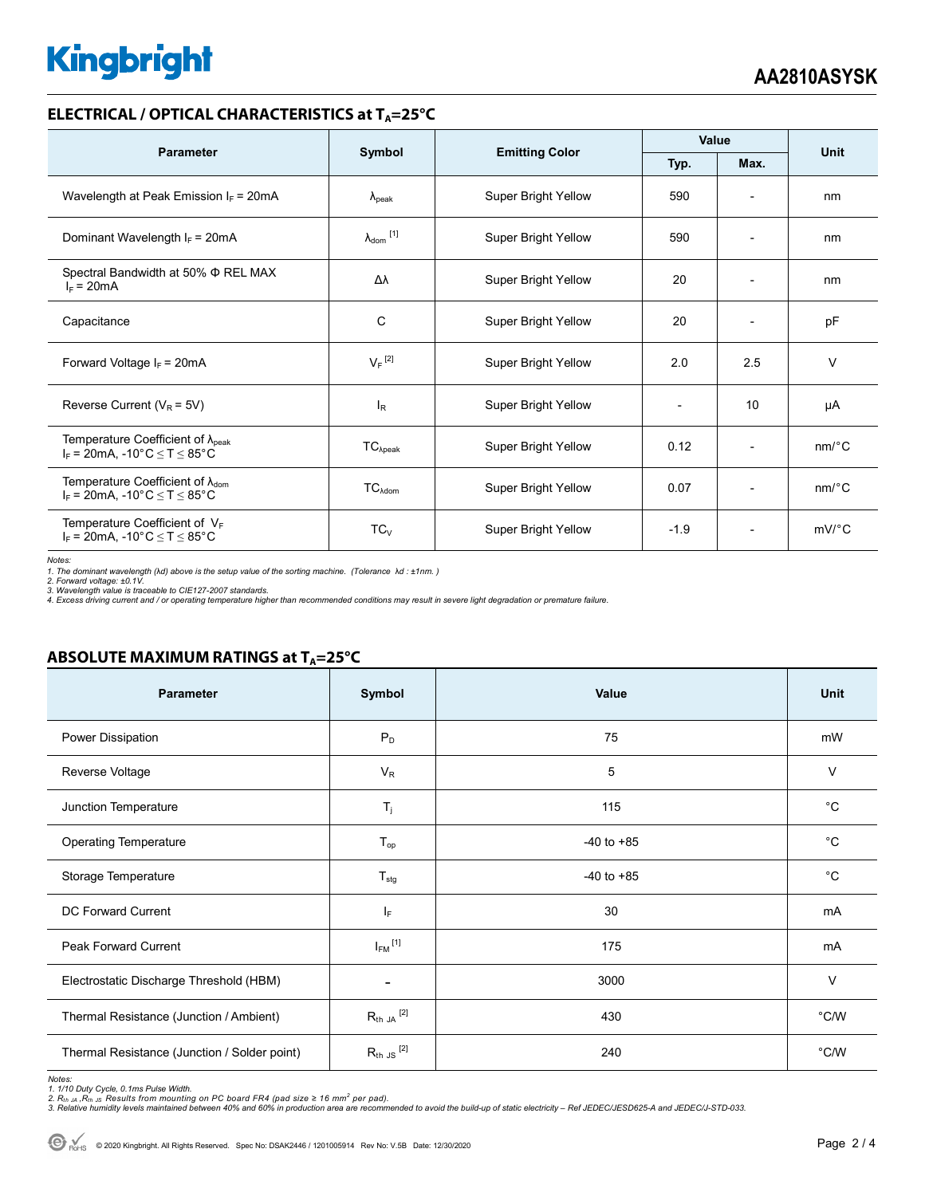# **Kingbright**

#### **ELECTRICAL / OPTICAL CHARACTERISTICS at T<sub>A</sub>=25°C**

| <b>Parameter</b>                                                                              | Symbol                     |                            | Value  |                          | <b>Unit</b>           |
|-----------------------------------------------------------------------------------------------|----------------------------|----------------------------|--------|--------------------------|-----------------------|
|                                                                                               |                            | <b>Emitting Color</b>      | Typ.   | Max.                     |                       |
| Wavelength at Peak Emission $I_F$ = 20mA                                                      | $\lambda_{\rm peak}$       | Super Bright Yellow        | 590    |                          | nm                    |
| Dominant Wavelength $I_F = 20mA$                                                              | $\lambda_{\text{dom}}$ [1] | Super Bright Yellow        | 590    | $\overline{\phantom{a}}$ | nm                    |
| Spectral Bandwidth at 50% Φ REL MAX<br>$I_F = 20mA$                                           | Δλ                         | Super Bright Yellow        | 20     | $\overline{\phantom{0}}$ | nm                    |
| Capacitance                                                                                   | С                          | Super Bright Yellow        | 20     |                          | pF                    |
| Forward Voltage $I_F$ = 20mA                                                                  | $V_F$ <sup>[2]</sup>       | Super Bright Yellow        | 2.0    | 2.5                      | $\vee$                |
| Reverse Current ( $V_R$ = 5V)                                                                 | l <sub>R</sub>             | Super Bright Yellow        |        | 10                       | μA                    |
| Temperature Coefficient of $\lambda_{\text{peak}}$<br>$I_F$ = 20mA, -10°C $\leq T \leq 85$ °C | $TC_{\lambda peak}$        | <b>Super Bright Yellow</b> | 0.12   | $\overline{\phantom{a}}$ | nm/°C                 |
| Temperature Coefficient of $\lambda_{\text{dom}}$<br>$I_F$ = 20mA, -10°C $\leq T \leq 85$ °C  | $TC_{\lambda dom}$         | Super Bright Yellow        | 0.07   | $\overline{\phantom{a}}$ | $nm$ <sup>o</sup> $C$ |
| Temperature Coefficient of $V_F$<br>$I_F$ = 20mA, -10°C $\leq T \leq 85$ °C                   | $TC_V$                     | <b>Super Bright Yellow</b> | $-1.9$ | $\overline{\phantom{0}}$ | $mV$ °C               |

*Notes:* 

*1. The dominant wavelength (*λ*d) above is the setup value of the sorting machine. (Tolerance* λ*d : ±1nm. )* 

2. Forward voltage: ±0.1V.<br>3. Wavelength value is traceable to CIE127-2007 standards.<br>4. Excess driving current and / or operating temperature higher than recommended conditions may result in severe light degradation or pr

### **ABSOLUTE MAXIMUM RATINGS at T<sub>A</sub>=25°C**

| Parameter                                    | Symbol                   | Value          | <b>Unit</b>   |
|----------------------------------------------|--------------------------|----------------|---------------|
| Power Dissipation                            | $P_D$                    | 75             | mW            |
| Reverse Voltage                              | $V_R$                    | 5              | $\vee$        |
| Junction Temperature                         | $T_j$                    | 115            | $^{\circ}C$   |
| <b>Operating Temperature</b>                 | $T_{op}$                 | $-40$ to $+85$ | $^{\circ}C$   |
| Storage Temperature                          | $T_{\text{stg}}$         | $-40$ to $+85$ | $^{\circ}C$   |
| DC Forward Current                           | ΙF                       | 30             | mA            |
| <b>Peak Forward Current</b>                  | $I_{FM}$ <sup>[1]</sup>  | 175            | mA            |
| Electrostatic Discharge Threshold (HBM)      | $\overline{\phantom{a}}$ | 3000           | $\vee$        |
| Thermal Resistance (Junction / Ambient)      | $R_{th}$ ja $^{[2]}$     | 430            | $\degree$ C/W |
| Thermal Resistance (Junction / Solder point) | $R_{th}$ JS $^{[2]}$     | 240            | $\degree$ C/W |

Notes:<br>1. 1/10 Duty Cycle, 0.1ms Pulse Width.<br>2. R<sub>th JA</sub> ,R<sub>th JS</sub> Results from mounting on PC board FR4 (pad size ≥ 16 mm<sup>2</sup> per pad).<br>3. Relative humidity levels maintained between 40% and 60% in production area are re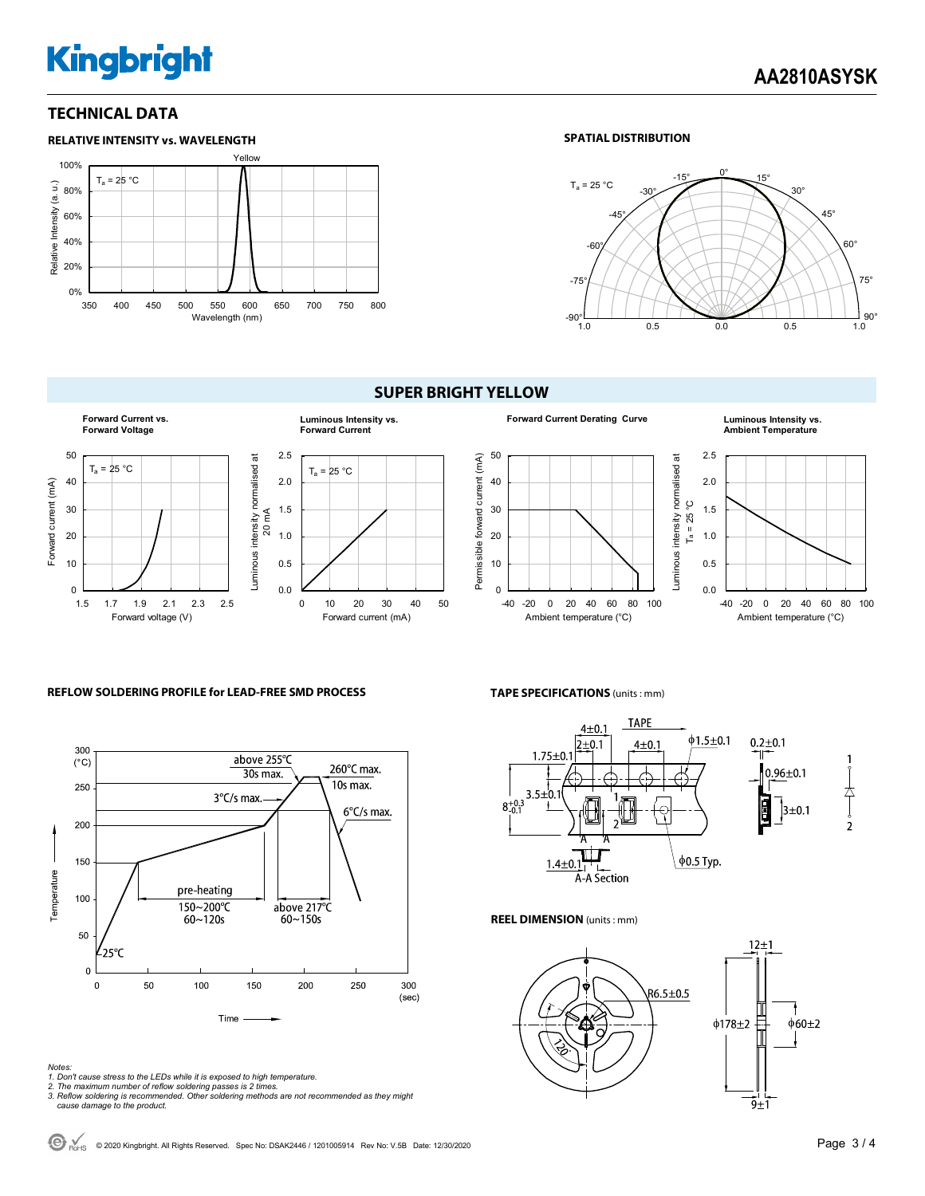# **Kingbright**

#### **TECHNICAL DATA**



#### **SPATIAL DISTRIBUTION**



#### **SUPER BRIGHT YELLOW**









#### **REFLOW SOLDERING PROFILE for LEAD-FREE SMD PROCESS**



#### **TAPE SPECIFICATIONS** (units : mm)



#### **REEL DIMENSION** (units : mm)



*Notes:* 

- *1. Don't cause stress to the LEDs while it is exposed to high temperature.*
- *2. The maximum number of reflow soldering passes is 2 times. 3. Reflow soldering is recommended. Other soldering methods are not recommended as they might*
- *cause damage to the product.*

 $\bigodot$  R<sub>OHS</sub> © 2020 Kingbright. All Rights Reserved. Spec No: DSAK2446 / 1201005914 Rev No: V.5B Date: 12/30/2020